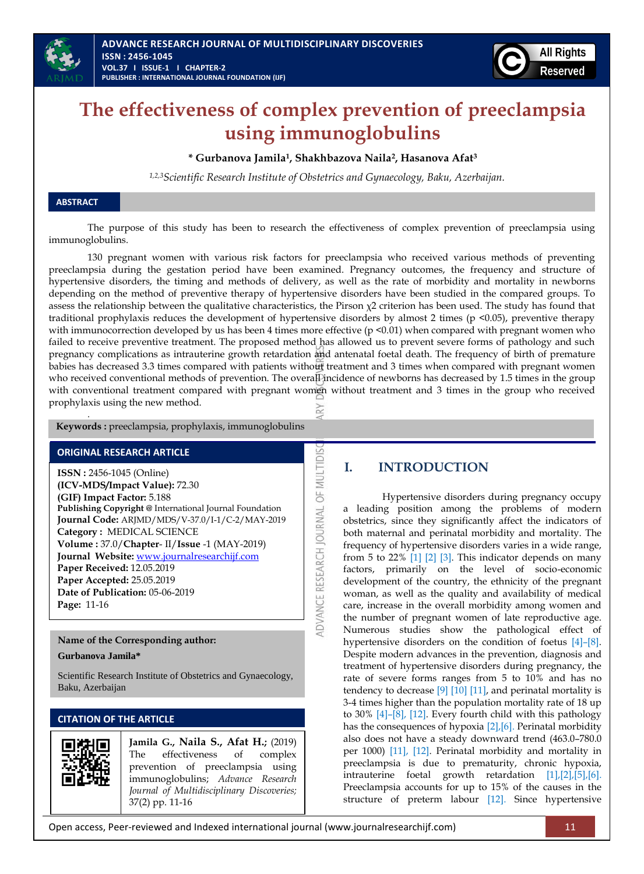



# **The effectiveness of complex prevention of preeclampsia using immunoglobulins**

**\* Gurbanova Jamila<sup>1</sup> , Shakhbazova Naila<sup>2</sup> , Hasanova Afat<sup>3</sup>**

*1,2,3Scientific Research Institute of Obstetrics and Gynaecology, Baku, Azerbaijan.*

## **ABSTRACT**

The purpose of this study has been to research the effectiveness of complex prevention of preeclampsia using immunoglobulins.

130 pregnant women with various risk factors for preeclampsia who received various methods of preventing preeclampsia during the gestation period have been examined. Pregnancy outcomes, the frequency and structure of hypertensive disorders, the timing and methods of delivery, as well as the rate of morbidity and mortality in newborns depending on the method of preventive therapy of hypertensive disorders have been studied in the compared groups. To assess the relationship between the qualitative characteristics, the Pirson  $\chi$ 2 criterion has been used. The study has found that traditional prophylaxis reduces the development of hypertensive disorders by almost 2 times (p <0.05), preventive therapy with immunocorrection developed by us has been 4 times more effective  $(p \le 0.01)$  when compared with pregnant women who failed to receive preventive treatment. The proposed method has allowed us to prevent severe forms of pathology and such pregnancy complications as intrauterine growth retardation and antenatal foetal death. The frequency of birth of premature babies has decreased 3.3 times compared with patients without treatment and 3 times when compared with pregnant women who received conventional methods of prevention. The overall incidence of newborns has decreased by 1.5 times in the group with conventional treatment compared with pregnant women without treatment and 3 times in the group who received prophylaxis using the new method.

ADVANCE RESEARCH JOURNAL OF MULTIDIS

 **Keywords :** preeclampsia, prophylaxis, immunoglobulins

## **ORIGINAL RESEARCH ARTICLE**

*.* 

**ISSN :** 2456-1045 (Online) **(ICV-MDS/Impact Value):** 72.30 **(GIF) Impact Factor:** 5.188 **Publishing Copyright @** International Journal Foundation **Journal Code:** ARJMD/MDS/V-37.0/I-1/C-2/MAY-2019 **Category :** MEDICAL SCIENCE **Volume :** 37.0/**Chapter**- II/**Issue** -1 (MAY-2019) **Journal Website:** [www.journalresearchijf.com](http://www.journalresearchijf.com/) **Paper Received:** 12.05.2019 **Paper Accepted:** 25.05.2019 **Date of Publication:** 05-06-2019 **Page:** 11-16

# **Name of the Corresponding author:**

#### **Gurbanova Jamila\***

Scientific Research Institute of Obstetrics and Gynaecology, Baku, Azerbaijan

#### **CITATION OF THE ARTICLE**

**Jamila G., Naila S., Afat H.;** (2019) The effectiveness of complex prevention of preeclampsia using immunoglobulins; *Advance Research Journal of Multidisciplinary Discoveries;* 37(2) pp. 11-16

# **I. INTRODUCTION**

Hypertensive disorders during pregnancy occupy a leading position among the problems of modern obstetrics, since they significantly affect the indicators of both maternal and perinatal morbidity and mortality. The frequency of hypertensive disorders varies in a wide range, from 5 to 22% [\[1\]](#page-4-0) [\[2\]](#page-4-1) [\[3\].](#page-4-2) This indicator depends on many factors, primarily on the level of socio-economic development of the country, the ethnicity of the pregnant woman, as well as the quality and availability of medical care, increase in the overall morbidity among women and the number of pregnant women of late reproductive age. Numerous studies show the pathological effect of hypertensive disorders on the condition of foetus [\[4\]](#page-4-3)–[\[8\].](#page-5-0)  Despite modern advances in the prevention, diagnosis and treatment of hypertensive disorders during pregnancy, the rate of severe forms ranges from 5 to 10% and has no tendency to decreas[e \[9\]](#page-5-1) [\[10\]](#page-5-2) [\[11\],](#page-5-3) and perinatal mortality is 3-4 times higher than the population mortality rate of 18 up to 30% [\[4\]](#page-4-3)–[\[8\],](#page-5-0) [\[12\].](#page-5-4) Every fourth child with this pathology has the consequences of hypoxia [\[2\]](#page-4-1)[,\[6\].](#page-4-4) Perinatal morbidity also does not have a steady downward trend (463.0–780.0 per 1000) [\[11\],](#page-5-3) [\[12\].](#page-5-4) Perinatal morbidity and mortality in preeclampsia is due to prematurity, chronic hypoxia, intrauterine foetal growth retardation [\[1\],](#page-4-0)[\[2\]](#page-4-1)[,\[5\]](#page-4-5)[,\[6\].](#page-4-4) Preeclampsia accounts for up to 15% of the causes in the structure of preterm labour [\[12\].](#page-5-4) Since hypertensive

Open access, Peer-reviewed and Indexed international journal (www.journalresearchijf.com) 11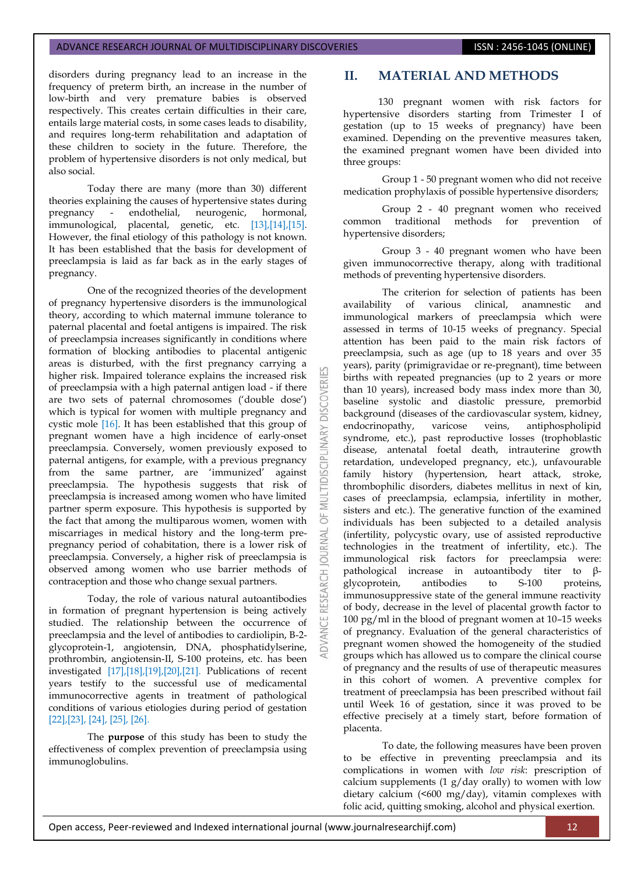disorders during pregnancy lead to an increase in the frequency of preterm birth, an increase in the number of low-birth and very premature babies is observed respectively. This creates certain difficulties in their care, entails large material costs, in some cases leads to disability, and requires long-term rehabilitation and adaptation of these children to society in the future. Therefore, the problem of hypertensive disorders is not only medical, but also social.

Today there are many (more than 30) different theories explaining the causes of hypertensive states during pregnancy - endothelial, neurogenic, hormonal, immunological, placental, genetic, etc. [\[13\]](#page-5-5)[,\[14\]](#page-5-6),[15]. However, the final etiology of this pathology is not known. It has been established that the basis for development of preeclampsia is laid as far back as in the early stages of pregnancy.

One of the recognized theories of the development of pregnancy hypertensive disorders is the immunological theory, according to which maternal immune tolerance to paternal placental and foetal antigens is impaired. The risk of preeclampsia increases significantly in conditions where formation of blocking antibodies to placental antigenic areas is disturbed, with the first pregnancy carrying a higher risk. Impaired tolerance explains the increased risk of preeclampsia with a high paternal antigen load - if there are two sets of paternal chromosomes ('double dose') which is typical for women with multiple pregnancy and cystic mole [\[16\].](#page-5-8) It has been established that this group of pregnant women have a high incidence of early-onset preeclampsia. Conversely, women previously exposed to paternal antigens, for example, with a previous pregnancy from the same partner, are 'immunized' against preeclampsia. The hypothesis suggests that risk of preeclampsia is increased among women who have limited partner sperm exposure. This hypothesis is supported by the fact that among the multiparous women, women with miscarriages in medical history and the long-term prepregnancy period of cohabitation, there is a lower risk of preeclampsia. Conversely, a higher risk of preeclampsia is observed among women who use barrier methods of contraception and those who change sexual partners.

Today, the role of various natural autoantibodies in formation of pregnant hypertension is being actively studied. The relationship between the occurrence of preeclampsia and the level of antibodies to cardiolipin, B-2 glycoprotein-1, angiotensin, DNA, phosphatidylserine, prothrombin, angiotensin-II, S-100 proteins, etc. has been investigated [\[17\],](#page-5-9)[\[18\],](#page-5-10)[\[19\]](#page-5-11)[,\[20\]](#page-5-12)[,\[21\].](#page-5-13) Publications of recent years testify to the successful use of medicamental immunocorrective agents in treatment of pathological conditions of various etiologies during period of gestation [\[22\]](#page-5-14)[,\[23\],](#page-5-15) [\[24\],](#page-5-16) [\[25\],](#page-5-17) [\[26\].](#page-5-18)

The **purpose** of this study has been to study the effectiveness of complex prevention of preeclampsia using immunoglobulins.

# **II. MATERIAL AND METHODS**

130 pregnant women with risk factors for hypertensive disorders starting from Trimester I of gestation (up to 15 weeks of pregnancy) have been examined. Depending on the preventive measures taken, the examined pregnant women have been divided into three groups:

Group 1 - 50 pregnant women who did not receive medication prophylaxis of possible hypertensive disorders;

Group 2 - 40 pregnant women who received common traditional methods for prevention of hypertensive disorders;

Group 3 - 40 pregnant women who have been given immunocorrective therapy, along with traditional methods of preventing hypertensive disorders.

The criterion for selection of patients has been availability of various clinical, anamnestic and immunological markers of preeclampsia which were assessed in terms of 10-15 weeks of pregnancy. Special attention has been paid to the main risk factors of preeclampsia, such as age (up to 18 years and over 35 years), parity (primigravidae or re-pregnant), time between births with repeated pregnancies (up to 2 years or more than 10 years), increased body mass index more than 30, baseline systolic and diastolic pressure, premorbid background (diseases of the cardiovascular system, kidney, endocrinopathy, varicose veins, antiphospholipid syndrome, etc.), past reproductive losses (trophoblastic disease, antenatal foetal death, intrauterine growth retardation, undeveloped pregnancy, etc.), unfavourable family history (hypertension, heart attack, stroke, thrombophilic disorders, diabetes mellitus in next of kin, cases of preeclampsia, eclampsia, infertility in mother, sisters and etc.). The generative function of the examined individuals has been subjected to a detailed analysis (infertility, polycystic ovary, use of assisted reproductive technologies in the treatment of infertility, etc.). The immunological risk factors for preeclampsia were: pathological increase in autoantibody titer to βglycoprotein, antibodies to S-100 proteins, immunosuppressive state of the general immune reactivity of body, decrease in the level of placental growth factor to 100 pg/ml in the blood of pregnant women at 10–15 weeks of pregnancy. Evaluation of the general characteristics of pregnant women showed the homogeneity of the studied groups which has allowed us to compare the clinical course of pregnancy and the results of use of therapeutic measures in this cohort of women. A preventive complex for treatment of preeclampsia has been prescribed without fail until Week 16 of gestation, since it was proved to be effective precisely at a timely start, before formation of placenta.

To date, the following measures have been proven to be effective in preventing preeclampsia and its complications in women with *low risk*: prescription of calcium supplements  $(1 g/day)$  to women with low dietary calcium (<600 mg/day), vitamin complexes with folic acid, quitting smoking, alcohol and physical exertion.

ö

**OURNAL**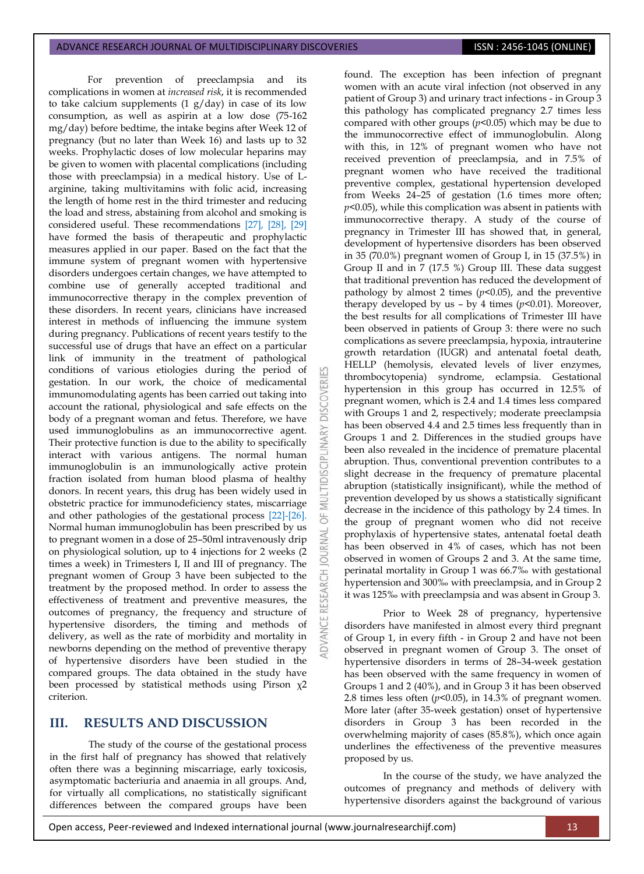For prevention of preeclampsia and its complications in women at *increased risk*, it is recommended to take calcium supplements  $(1 g/day)$  in case of its low consumption, as well as aspirin at a low dose (75-162 mg/day) before bedtime, the intake begins after Week 12 of pregnancy (but no later than Week 16) and lasts up to 32 weeks. Prophylactic doses of low molecular heparins may be given to women with placental complications (including those with preeclampsia) in a medical history. Use of Larginine, taking multivitamins with folic acid, increasing the length of home rest in the third trimester and reducing the load and stress, abstaining from alcohol and smoking is considered useful. These recommendations [\[27\],](#page-5-19) [\[28\],](#page-5-20) [\[29\]](#page-5-21) have formed the basis of therapeutic and prophylactic measures applied in our paper. Based on the fact that the immune system of pregnant women with hypertensive disorders undergoes certain changes, we have attempted to combine use of generally accepted traditional and immunocorrective therapy in the complex prevention of these disorders. In recent years, clinicians have increased interest in methods of influencing the immune system during pregnancy. Publications of recent years testify to the successful use of drugs that have an effect on a particular link of immunity in the treatment of pathological conditions of various etiologies during the period of gestation. In our work, the choice of medicamental immunomodulating agents has been carried out taking into account the rational, physiological and safe effects on the body of a pregnant woman and fetus. Therefore, we have used immunoglobulins as an immunocorrective agent. Their protective function is due to the ability to specifically interact with various antigens. The normal human immunoglobulin is an immunologically active protein fraction isolated from human blood plasma of healthy donors. In recent years, this drug has been widely used in obstetric practice for immunodeficiency states, miscarriage and other pathologies of the gestational process [\[22\]-](#page-5-14)[\[26\].](#page-5-18) Normal human immunoglobulin has been prescribed by us to pregnant women in a dose of 25–50ml intravenously drip on physiological solution, up to 4 injections for 2 weeks (2 times a week) in Trimesters I, II and III of pregnancy. The pregnant women of Group 3 have been subjected to the treatment by the proposed method. In order to assess the effectiveness of treatment and preventive measures, the outcomes of pregnancy, the frequency and structure of hypertensive disorders, the timing and methods of delivery, as well as the rate of morbidity and mortality in newborns depending on the method of preventive therapy of hypertensive disorders have been studied in the compared groups. The data obtained in the study have been processed by statistical methods using Pirson χ2 criterion.

OVERI

5 **AL** 

š

# **III. RESULTS AND DISCUSSION**

The study of the course of the gestational process in the first half of pregnancy has showed that relatively often there was a beginning miscarriage, early toxicosis, asymptomatic bacteriuria and anaemia in all groups. And, for virtually all complications, no statistically significant differences between the compared groups have been

found. The exception has been infection of pregnant women with an acute viral infection (not observed in any patient of Group 3) and urinary tract infections - in Group 3 this pathology has complicated pregnancy 2.7 times less compared with other groups  $(p<0.05)$  which may be due to the immunocorrective effect of immunoglobulin. Along with this, in 12% of pregnant women who have not received prevention of preeclampsia, and in 7.5% of pregnant women who have received the traditional preventive complex, gestational hypertension developed from Weeks 24–25 of gestation (1.6 times more often; *p*<0.05), while this complication was absent in patients with immunocorrective therapy. A study of the course of pregnancy in Trimester III has showed that, in general, development of hypertensive disorders has been observed in 35 (70.0%) pregnant women of Group I, in 15 (37.5%) in Group II and in 7 (17.5 %) Group III. These data suggest that traditional prevention has reduced the development of pathology by almost 2 times  $(p<0.05)$ , and the preventive therapy developed by us - by 4 times  $(p<0.01)$ . Moreover, the best results for all complications of Trimester III have been observed in patients of Group 3: there were no such complications as severe preeclampsia, hypoxia, intrauterine growth retardation (IUGR) and antenatal foetal death, HELLP (hemolysis, elevated levels of liver enzymes, thrombocytopenia) syndrome, eclampsia. Gestational hypertension in this group has occurred in 12.5% of pregnant women, which is 2.4 and 1.4 times less compared with Groups 1 and 2, respectively; moderate preeclampsia has been observed 4.4 and 2.5 times less frequently than in Groups 1 and 2. Differences in the studied groups have been also revealed in the incidence of premature placental abruption. Thus, conventional prevention contributes to a slight decrease in the frequency of premature placental abruption (statistically insignificant), while the method of prevention developed by us shows a statistically significant decrease in the incidence of this pathology by 2.4 times. In the group of pregnant women who did not receive prophylaxis of hypertensive states, antenatal foetal death has been observed in 4% of cases, which has not been observed in women of Groups 2 and 3. At the same time, perinatal mortality in Group 1 was 66.7‰ with gestational hypertension and 300‰ with preeclampsia, and in Group 2 it was 125‰ with preeclampsia and was absent in Group 3.

Prior to Week 28 of pregnancy, hypertensive disorders have manifested in almost every third pregnant of Group 1, in every fifth - in Group 2 and have not been observed in pregnant women of Group 3. The onset of hypertensive disorders in terms of 28–34-week gestation has been observed with the same frequency in women of Groups 1 and 2 (40%), and in Group 3 it has been observed 2.8 times less often  $(p<0.05)$ , in 14.3% of pregnant women. More later (after 35-week gestation) onset of hypertensive disorders in Group 3 has been recorded in the overwhelming majority of cases (85.8%), which once again underlines the effectiveness of the preventive measures proposed by us.

In the course of the study, we have analyzed the outcomes of pregnancy and methods of delivery with hypertensive disorders against the background of various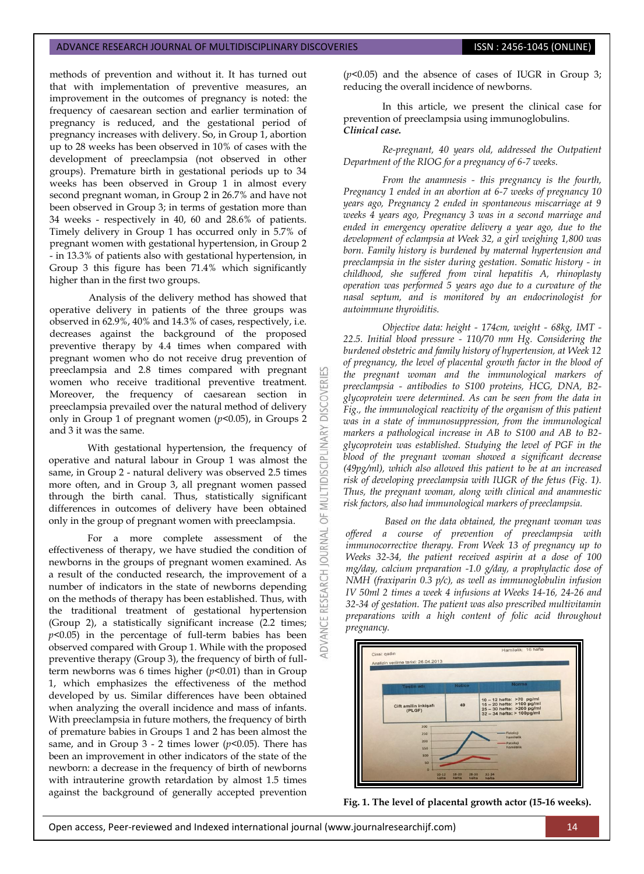methods of prevention and without it. It has turned out that with implementation of preventive measures, an improvement in the outcomes of pregnancy is noted: the frequency of caesarean section and earlier termination of pregnancy is reduced, and the gestational period of pregnancy increases with delivery. So, in Group  $\overline{1}$ , abortion up to 28 weeks has been observed in 10% of cases with the development of preeclampsia (not observed in other groups). Premature birth in gestational periods up to 34 weeks has been observed in Group 1 in almost every second pregnant woman, in Group 2 in 26.7% and have not been observed in Group 3; in terms of gestation more than 34 weeks - respectively in 40, 60 and 28.6% of patients. Timely delivery in Group 1 has occurred only in 5.7% of pregnant women with gestational hypertension, in Group 2 - in 13.3% of patients also with gestational hypertension, in Group 3 this figure has been 71.4% which significantly higher than in the first two groups.

Analysis of the delivery method has showed that operative delivery in patients of the three groups was observed in 62.9%, 40% and 14.3% of cases, respectively, i.e. decreases against the background of the proposed preventive therapy by 4.4 times when compared with pregnant women who do not receive drug prevention of preeclampsia and 2.8 times compared with pregnant women who receive traditional preventive treatment. Moreover, the frequency of caesarean section in preeclampsia prevailed over the natural method of delivery only in Group 1 of pregnant women (*p*<0.05), in Groups 2 and 3 it was the same.

**DISCOVERI** 

5

**JRNAL** 5

ADVAN

With gestational hypertension, the frequency of operative and natural labour in Group 1 was almost the same, in Group 2 - natural delivery was observed 2.5 times more often, and in Group 3, all pregnant women passed through the birth canal. Thus, statistically significant differences in outcomes of delivery have been obtained only in the group of pregnant women with preeclampsia.

For a more complete assessment of the effectiveness of therapy, we have studied the condition of newborns in the groups of pregnant women examined. As a result of the conducted research, the improvement of a number of indicators in the state of newborns depending on the methods of therapy has been established. Thus, with the traditional treatment of gestational hypertension (Group 2), a statistically significant increase (2.2 times;  $p$ <0.05) in the percentage of full-term babies has been observed compared with Group 1. While with the proposed preventive therapy (Group 3), the frequency of birth of fullterm newborns was 6 times higher (*p*<0.01) than in Group 1, which emphasizes the effectiveness of the method developed by us. Similar differences have been obtained when analyzing the overall incidence and mass of infants. With preeclampsia in future mothers, the frequency of birth of premature babies in Groups 1 and 2 has been almost the same, and in Group 3 - 2 times lower (*p*<0.05). There has been an improvement in other indicators of the state of the newborn: a decrease in the frequency of birth of newborns with intrauterine growth retardation by almost 1.5 times against the background of generally accepted prevention

(*p*<0.05) and the absence of cases of IUGR in Group 3; reducing the overall incidence of newborns.

In this article, we present the clinical case for prevention of preeclampsia using immunoglobulins. *Clinical case.*

*Re-pregnant, 40 years old, addressed the Outpatient Department of the RIOG for a pregnancy of 6-7 weeks.*

*From the anamnesis - this pregnancy is the fourth, Pregnancy 1 ended in an abortion at 6-7 weeks of pregnancy 10 years ago, Pregnancy 2 ended in spontaneous miscarriage at 9 weeks 4 years ago, Pregnancy 3 was in a second marriage and ended in emergency operative delivery a year ago, due to the development of eclampsia at Week 32, a girl weighing 1,800 was born. Family history is burdened by maternal hypertension and preeclampsia in the sister during gestation. Somatic history - in childhood, she suffered from viral hepatitis A, rhinoplasty operation was performed 5 years ago due to a curvature of the nasal septum, and is monitored by an endocrinologist for autoimmune thyroiditis.*

*Objective data: height - 174cm, weight - 68kg, IMT - 22.5. Initial blood pressure - 110/70 mm Hg. Considering the burdened obstetric and family history of hypertension, at Week 12 of pregnancy, the level of placental growth factor in the blood of the pregnant woman and the immunological markers of preeclampsia - antibodies to S100 proteins, HCG, DNA, B2 glycoprotein were determined. As can be seen from the data in Fig., the immunological reactivity of the organism of this patient was in a state of immunosuppression, from the immunological markers a pathological increase in AB to S100 and AB to B2 glycoprotein was established. Studying the level of PGF in the blood of the pregnant woman showed a significant decrease (49pg/ml), which also allowed this patient to be at an increased risk of developing preeclampsia with IUGR of the fetus (Fig. 1). Thus, the pregnant woman, along with clinical and anamnestic risk factors, also had immunological markers of preeclampsia.*

*Based on the data obtained, the pregnant woman was offered a course of prevention of preeclampsia with immunocorrective therapy. From Week 13 of pregnancy up to Weeks 32-34, the patient received aspirin at a dose of 100 mg/day, calcium preparation -1.0 g/day, a prophylactic dose of NMH (fraxiparin 0.3 p/c), as well as immunoglobulin infusion IV 50ml 2 times a week 4 infusions at Weeks 14-16, 24-26 and 32-34 of gestation. The patient was also prescribed multivitamin preparations with a high content of folic acid throughout pregnancy.*



**Fig. 1. The level of placental growth actor (15-16 weeks).**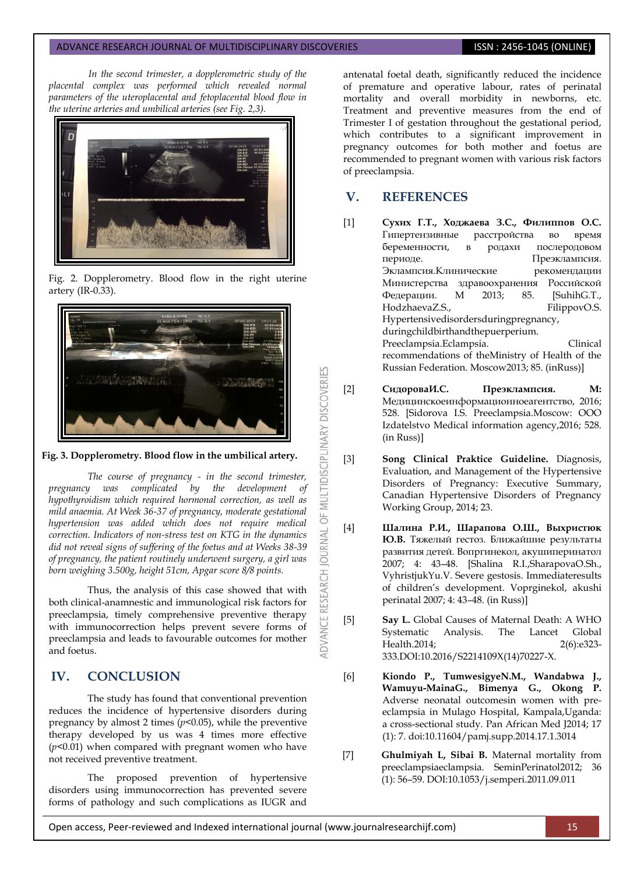*In the second trimester, a dopplerometric study of the placental complex was performed which revealed normal parameters of the uteroplacental and fetoplacental blood flow in the uterine arteries and umbilical arteries (see Fig. 2,3).*







#### **Fig. 3. Dopplerometry. Blood flow in the umbilical artery.**

*The course of pregnancy - in the second trimester, pregnancy was complicated by the development of hypothyroidism which required hormonal correction, as well as mild anaemia. At Week 36-37 of pregnancy, moderate gestational hypertension was added which does not require medical correction. Indicators of non-stress test on KTG in the dynamics did not reveal signs of suffering of the foetus and at Weeks 38-39 of pregnancy, the patient routinely underwent surgery, a girl was born weighing 3.500g, height 51cm, Apgar score 8/8 points.*

Thus, the analysis of this case showed that with both clinical-anamnestic and immunological risk factors for preeclampsia, timely comprehensive preventive therapy with immunocorrection helps prevent severe forms of preeclampsia and leads to favourable outcomes for mother and foetus.

# **IV. CONCLUSION**

The study has found that conventional prevention reduces the incidence of hypertensive disorders during pregnancy by almost 2 times  $(p<0.05)$ , while the preventive therapy developed by us was 4 times more effective  $(p<0.01)$  when compared with pregnant women who have not received preventive treatment.

The proposed prevention of hypertensive disorders using immunocorrection has prevented severe forms of pathology and such complications as IUGR and antenatal foetal death, significantly reduced the incidence of premature and operative labour, rates of perinatal mortality and overall morbidity in newborns, etc. Treatment and preventive measures from the end of Trimester I of gestation throughout the gestational period, which contributes to a significant improvement in pregnancy outcomes for both mother and foetus are recommended to pregnant women with various risk factors of preeclampsia.

# **V. REFERENCES**

OF MULTIDISCIPLINARY DISCOVERIES

**JANRING** 

RESEARCH

ADVANCE

- <span id="page-4-0"></span>[1] **Сухих Г.Т., Ходжаева З.С., Филиппов О.С.** Гипертензивные расстройства во время беременности, в родахи послеродовом периоде.<br>Эклампсия. Клинические срекомендации Эклампсия. Клинические Министерства здравоохранения Российской Федерации. М 2013; 85. [SuhihG.T., HodzhaevaZ.S., FilippovO.S. Hypertensivedisordersduringpregnancy, duringchildbirthandthepuerperium. Preeclampsia.Eclampsia. Clinical recommendations of theMinistry of Health of the Russian Federation. Moscow2013; 85. (inRuss)]
- <span id="page-4-1"></span>[2] **СидороваИ.С. Преэклампсия. М:** Медицинскоеинформационноеагентство, 2016; 528. [Sidorova I.S. Preeclampsia.Moscow: OOO Izdatelstvo Medical information agency,2016; 528. (in Russ)]
- <span id="page-4-2"></span>[3] **Song Clinical Praktice Guideline.** Diagnosis, Evaluation, and Management of the Hypertensive Disorders of Pregnancy: Executive Summary, Canadian Hypertensive Disorders of Pregnancy Working Group, 2014; 23.
- <span id="page-4-3"></span>[4] **Шалина Р.И., Шарапова О.Ш., Выхристюк Ю.В.** Тяжелый гестоз. Ближайшие результаты развития детей. Вопргинекол, акушиперинатол 2007; 4: 43–48. [Shalina R.I.,SharapovaO.Sh., VyhristjukYu.V. Severe gestosis. Immediateresults of children's development. Voprginekol, akushi perinatal 2007; 4: 43–48. (in Russ)]
- <span id="page-4-5"></span>[5] **Say L.** Global Causes of Maternal Death: A WHO Systematic Analysis. The Lancet Global Health.2014; 2(6):e323-333.DOI:10.2016/S2214109Х(14)70227-Х.
- <span id="page-4-4"></span>[6] **Kiondo P., TumwesigyeN.M., Wandabwa J., Wamuyu-MainaG., Bimenya G., Okong P.** Adverse neonatal outcomesin women with preeclampsia in Mulago Hospital, Kampala,Uganda: a cross-sectional study. Pan African Med J2014; 17 (1): 7. doi:10.11604/pamj.supp.2014.17.1.3014
- [7] **Ghulmiyah L, Sibai B.** Maternal mortality from preeclampsiaeclampsiа. SeminPerinatol2012; 36  $(1)$ : 56–59. DOI:10.1053/j.semperi.2011.09.011